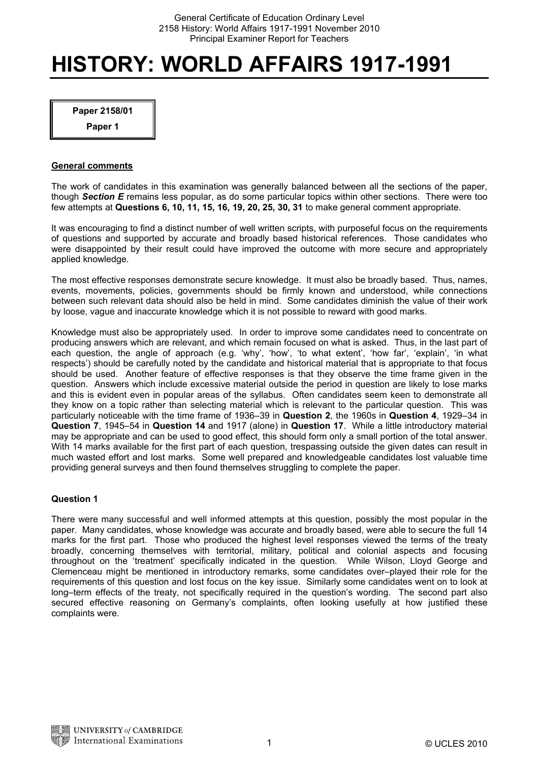# **HISTORY: WORLD AFFAIRS 1917-1991**

**Paper 2158/01** 

**Paper 1** 

# **General comments**

The work of candidates in this examination was generally balanced between all the sections of the paper, though *Section E* remains less popular, as do some particular topics within other sections. There were too few attempts at **Questions 6, 10, 11, 15, 16, 19, 20, 25, 30, 31** to make general comment appropriate.

It was encouraging to find a distinct number of well written scripts, with purposeful focus on the requirements of questions and supported by accurate and broadly based historical references. Those candidates who were disappointed by their result could have improved the outcome with more secure and appropriately applied knowledge.

The most effective responses demonstrate secure knowledge. It must also be broadly based. Thus, names, events, movements, policies, governments should be firmly known and understood, while connections between such relevant data should also be held in mind. Some candidates diminish the value of their work by loose, vague and inaccurate knowledge which it is not possible to reward with good marks.

Knowledge must also be appropriately used. In order to improve some candidates need to concentrate on producing answers which are relevant, and which remain focused on what is asked. Thus, in the last part of each question, the angle of approach (e.g. 'why', 'how', 'to what extent', 'how far', 'explain', 'in what respects') should be carefully noted by the candidate and historical material that is appropriate to that focus should be used. Another feature of effective responses is that they observe the time frame given in the question. Answers which include excessive material outside the period in question are likely to lose marks and this is evident even in popular areas of the syllabus. Often candidates seem keen to demonstrate all they know on a topic rather than selecting material which is relevant to the particular question. This was particularly noticeable with the time frame of 1936–39 in **Question 2**, the 1960s in **Question 4**, 1929–34 in **Question 7**, 1945–54 in **Question 14** and 1917 (alone) in **Question 17**. While a little introductory material may be appropriate and can be used to good effect, this should form only a small portion of the total answer. With 14 marks available for the first part of each question, trespassing outside the given dates can result in much wasted effort and lost marks. Some well prepared and knowledgeable candidates lost valuable time providing general surveys and then found themselves struggling to complete the paper.

# **Question 1**

There were many successful and well informed attempts at this question, possibly the most popular in the paper. Many candidates, whose knowledge was accurate and broadly based, were able to secure the full 14 marks for the first part. Those who produced the highest level responses viewed the terms of the treaty broadly, concerning themselves with territorial, military, political and colonial aspects and focusing throughout on the 'treatment' specifically indicated in the question. While Wilson, Lloyd George and Clemenceau might be mentioned in introductory remarks, some candidates over–played their role for the requirements of this question and lost focus on the key issue. Similarly some candidates went on to look at long–term effects of the treaty, not specifically required in the question's wording. The second part also secured effective reasoning on Germany's complaints, often looking usefully at how justified these complaints were.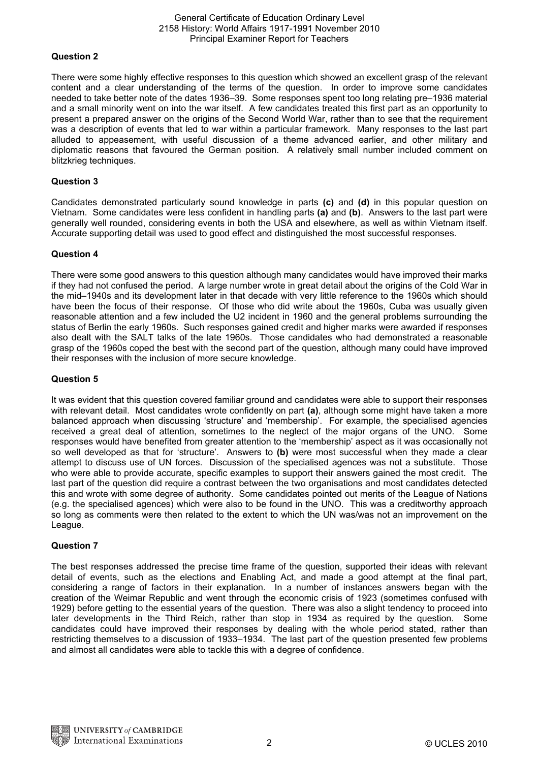# **Question 2**

There were some highly effective responses to this question which showed an excellent grasp of the relevant content and a clear understanding of the terms of the question. In order to improve some candidates needed to take better note of the dates 1936–39. Some responses spent too long relating pre–1936 material and a small minority went on into the war itself. A few candidates treated this first part as an opportunity to present a prepared answer on the origins of the Second World War, rather than to see that the requirement was a description of events that led to war within a particular framework. Many responses to the last part alluded to appeasement, with useful discussion of a theme advanced earlier, and other military and diplomatic reasons that favoured the German position. A relatively small number included comment on blitzkrieg techniques.

# **Question 3**

Candidates demonstrated particularly sound knowledge in parts **(c)** and **(d)** in this popular question on Vietnam. Some candidates were less confident in handling parts **(a)** and **(b)**. Answers to the last part were generally well rounded, considering events in both the USA and elsewhere, as well as within Vietnam itself. Accurate supporting detail was used to good effect and distinguished the most successful responses.

# **Question 4**

There were some good answers to this question although many candidates would have improved their marks if they had not confused the period. A large number wrote in great detail about the origins of the Cold War in the mid–1940s and its development later in that decade with very little reference to the 1960s which should have been the focus of their response. Of those who did write about the 1960s, Cuba was usually given reasonable attention and a few included the U2 incident in 1960 and the general problems surrounding the status of Berlin the early 1960s. Such responses gained credit and higher marks were awarded if responses also dealt with the SALT talks of the late 1960s. Those candidates who had demonstrated a reasonable grasp of the 1960s coped the best with the second part of the question, although many could have improved their responses with the inclusion of more secure knowledge.

# **Question 5**

It was evident that this question covered familiar ground and candidates were able to support their responses with relevant detail. Most candidates wrote confidently on part **(a)**, although some might have taken a more balanced approach when discussing 'structure' and 'membership'. For example, the specialised agencies received a great deal of attention, sometimes to the neglect of the major organs of the UNO. Some responses would have benefited from greater attention to the 'membership' aspect as it was occasionally not so well developed as that for 'structure'. Answers to **(b)** were most successful when they made a clear attempt to discuss use of UN forces. Discussion of the specialised agences was not a substitute. Those who were able to provide accurate, specific examples to support their answers gained the most credit. The last part of the question did require a contrast between the two organisations and most candidates detected this and wrote with some degree of authority. Some candidates pointed out merits of the League of Nations (e.g. the specialised agences) which were also to be found in the UNO. This was a creditworthy approach so long as comments were then related to the extent to which the UN was/was not an improvement on the League.

#### **Question 7**

The best responses addressed the precise time frame of the question, supported their ideas with relevant detail of events, such as the elections and Enabling Act, and made a good attempt at the final part, considering a range of factors in their explanation. In a number of instances answers began with the creation of the Weimar Republic and went through the economic crisis of 1923 (sometimes confused with 1929) before getting to the essential years of the question. There was also a slight tendency to proceed into later developments in the Third Reich, rather than stop in 1934 as required by the question. Some candidates could have improved their responses by dealing with the whole period stated, rather than restricting themselves to a discussion of 1933–1934. The last part of the question presented few problems and almost all candidates were able to tackle this with a degree of confidence.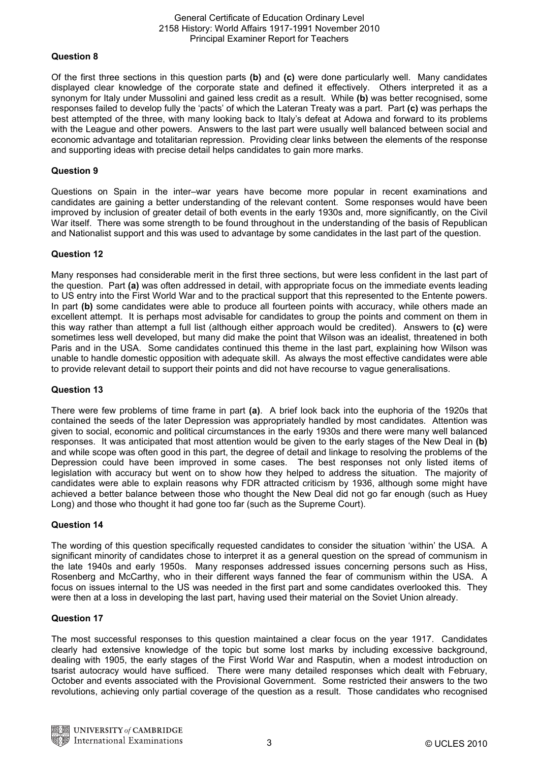# **Question 8**

Of the first three sections in this question parts **(b)** and **(c)** were done particularly well. Many candidates displayed clear knowledge of the corporate state and defined it effectively. Others interpreted it as a synonym for Italy under Mussolini and gained less credit as a result. While **(b)** was better recognised, some responses failed to develop fully the 'pacts' of which the Lateran Treaty was a part. Part **(c)** was perhaps the best attempted of the three, with many looking back to Italy's defeat at Adowa and forward to its problems with the League and other powers. Answers to the last part were usually well balanced between social and economic advantage and totalitarian repression. Providing clear links between the elements of the response and supporting ideas with precise detail helps candidates to gain more marks.

# **Question 9**

Questions on Spain in the inter–war years have become more popular in recent examinations and candidates are gaining a better understanding of the relevant content. Some responses would have been improved by inclusion of greater detail of both events in the early 1930s and, more significantly, on the Civil War itself. There was some strength to be found throughout in the understanding of the basis of Republican and Nationalist support and this was used to advantage by some candidates in the last part of the question.

# **Question 12**

Many responses had considerable merit in the first three sections, but were less confident in the last part of the question. Part **(a)** was often addressed in detail, with appropriate focus on the immediate events leading to US entry into the First World War and to the practical support that this represented to the Entente powers. In part **(b)** some candidates were able to produce all fourteen points with accuracy, while others made an excellent attempt. It is perhaps most advisable for candidates to group the points and comment on them in this way rather than attempt a full list (although either approach would be credited). Answers to **(c)** were sometimes less well developed, but many did make the point that Wilson was an idealist, threatened in both Paris and in the USA. Some candidates continued this theme in the last part, explaining how Wilson was unable to handle domestic opposition with adequate skill. As always the most effective candidates were able to provide relevant detail to support their points and did not have recourse to vague generalisations.

#### **Question 13**

There were few problems of time frame in part **(a)**. A brief look back into the euphoria of the 1920s that contained the seeds of the later Depression was appropriately handled by most candidates. Attention was given to social, economic and political circumstances in the early 1930s and there were many well balanced responses. It was anticipated that most attention would be given to the early stages of the New Deal in **(b)** and while scope was often good in this part, the degree of detail and linkage to resolving the problems of the Depression could have been improved in some cases. The best responses not only listed items of legislation with accuracy but went on to show how they helped to address the situation. The majority of candidates were able to explain reasons why FDR attracted criticism by 1936, although some might have achieved a better balance between those who thought the New Deal did not go far enough (such as Huey Long) and those who thought it had gone too far (such as the Supreme Court).

#### **Question 14**

The wording of this question specifically requested candidates to consider the situation 'within' the USA. A significant minority of candidates chose to interpret it as a general question on the spread of communism in the late 1940s and early 1950s. Many responses addressed issues concerning persons such as Hiss, Rosenberg and McCarthy, who in their different ways fanned the fear of communism within the USA. A focus on issues internal to the US was needed in the first part and some candidates overlooked this. They were then at a loss in developing the last part, having used their material on the Soviet Union already.

# **Question 17**

The most successful responses to this question maintained a clear focus on the year 1917. Candidates clearly had extensive knowledge of the topic but some lost marks by including excessive background, dealing with 1905, the early stages of the First World War and Rasputin, when a modest introduction on tsarist autocracy would have sufficed. There were many detailed responses which dealt with February, October and events associated with the Provisional Government. Some restricted their answers to the two revolutions, achieving only partial coverage of the question as a result. Those candidates who recognised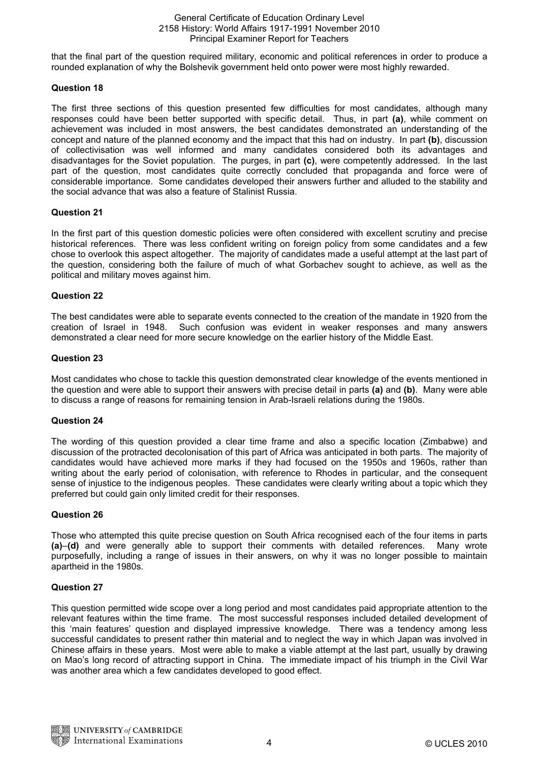that the final part of the question required military, economic and political references in order to produce a rounded explanation of why the Bolshevik government held onto power were most highly rewarded.

# **Question 18**

The first three sections of this question presented few difficulties for most candidates, although many responses could have been better supported with specific detail. Thus, in part **(a)**, while comment on achievement was included in most answers, the best candidates demonstrated an understanding of the concept and nature of the planned economy and the impact that this had on industry. In part **(b)**, discussion of collectivisation was well informed and many candidates considered both its advantages and disadvantages for the Soviet population. The purges, in part **(c)**, were competently addressed. In the last part of the question, most candidates quite correctly concluded that propaganda and force were of considerable importance. Some candidates developed their answers further and alluded to the stability and the social advance that was also a feature of Stalinist Russia.

# **Question 21**

In the first part of this question domestic policies were often considered with excellent scrutiny and precise historical references. There was less confident writing on foreign policy from some candidates and a few chose to overlook this aspect altogether. The majority of candidates made a useful attempt at the last part of the question, considering both the failure of much of what Gorbachev sought to achieve, as well as the political and military moves against him.

# **Question 22**

The best candidates were able to separate events connected to the creation of the mandate in 1920 from the creation of Israel in 1948. Such confusion was evident in weaker responses and many answers demonstrated a clear need for more secure knowledge on the earlier history of the Middle East.

# **Question 23**

Most candidates who chose to tackle this question demonstrated clear knowledge of the events mentioned in the question and were able to support their answers with precise detail in parts **(a)** and **(b)**. Many were able to discuss a range of reasons for remaining tension in Arab-Israeli relations during the 1980s.

#### **Question 24**

The wording of this question provided a clear time frame and also a specific location (Zimbabwe) and discussion of the protracted decolonisation of this part of Africa was anticipated in both parts. The majority of candidates would have achieved more marks if they had focused on the 1950s and 1960s, rather than writing about the early period of colonisation, with reference to Rhodes in particular, and the consequent sense of injustice to the indigenous peoples. These candidates were clearly writing about a topic which they preferred but could gain only limited credit for their responses.

# **Question 26**

Those who attempted this quite precise question on South Africa recognised each of the four items in parts **(a)**–**(d)** and were generally able to support their comments with detailed references. Many wrote purposefully, including a range of issues in their answers, on why it was no longer possible to maintain apartheid in the 1980s.

#### **Question 27**

This question permitted wide scope over a long period and most candidates paid appropriate attention to the relevant features within the time frame. The most successful responses included detailed development of this 'main features' question and displayed impressive knowledge. There was a tendency among less successful candidates to present rather thin material and to neglect the way in which Japan was involved in Chinese affairs in these years. Most were able to make a viable attempt at the last part, usually by drawing on Mao's long record of attracting support in China. The immediate impact of his triumph in the Civil War was another area which a few candidates developed to good effect.